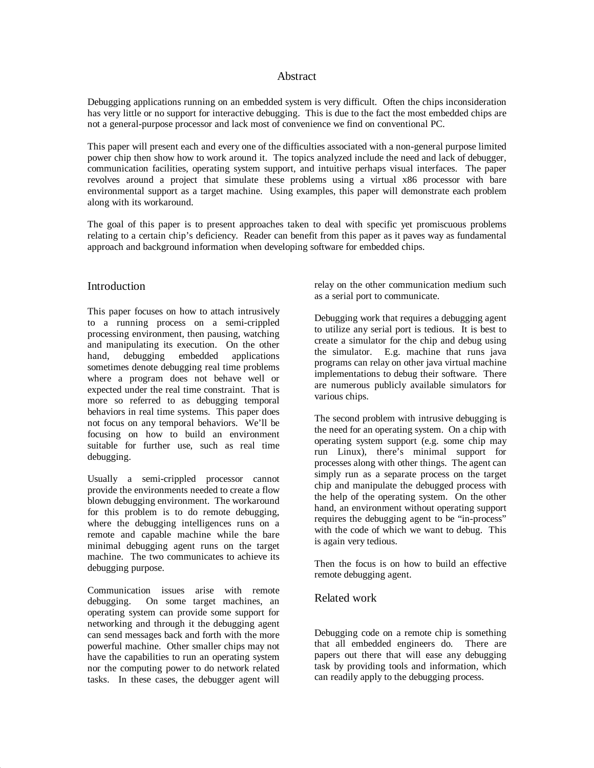### Abstract

Debugging applications running on an embedded system is very difficult. Often the chips inconsideration has very little or no support for interactive debugging. This is due to the fact the most embedded chips are not a general-purpose processor and lack most of convenience we find on conventional PC.

This paper will present each and every one of the difficulties associated with a non-general purpose limited power chip then show how to work around it. The topics analyzed include the need and lack of debugger, communication facilities, operating system support, and intuitive perhaps visual interfaces. The paper revolves around a project that simulate these problems using a virtual x86 processor with bare environmental support as a target machine. Using examples, this paper will demonstrate each problem along with its workaround.

The goal of this paper is to present approaches taken to deal with specific yet promiscuous problems relating to a certain chip's deficiency. Reader can benefit from this paper as it paves way as fundamental approach and background information when developing software for embedded chips.

### Introduction

This paper focuses on how to attach intrusively to a running process on a semi-crippled processing environment, then pausing, watching and manipulating its execution. On the other hand, debugging embedded applications sometimes denote debugging real time problems where a program does not behave well or expected under the real time constraint. That is more so referred to as debugging temporal behaviors in real time systems. This paper does not focus on any temporal behaviors. We'll be focusing on how to build an environment suitable for further use, such as real time debugging.

Usually a semi-crippled processor cannot provide the environments needed to create a flow blown debugging environment. The workaround for this problem is to do remote debugging, where the debugging intelligences runs on a remote and capable machine while the bare minimal debugging agent runs on the target machine. The two communicates to achieve its debugging purpose.

Communication issues arise with remote debugging. On some target machines, an operating system can provide some support for networking and through it the debugging agent can send messages back and forth with the more powerful machine. Other smaller chips may not have the capabilities to run an operating system nor the computing power to do network related tasks. In these cases, the debugger agent will

relay on the other communication medium such as a serial port to communicate.

Debugging work that requires a debugging agent to utilize any serial port is tedious. It is best to create a simulator for the chip and debug using the simulator. E.g. machine that runs java programs can relay on other java virtual machine implementations to debug their software. There are numerous publicly available simulators for various chips.

The second problem with intrusive debugging is the need for an operating system. On a chip with operating system support (e.g. some chip may run Linux), there's minimal support for processes along with other things. The agent can simply run as a separate process on the target chip and manipulate the debugged process with the help of the operating system. On the other hand, an environment without operating support requires the debugging agent to be "in-process" with the code of which we want to debug. This is again very tedious.

Then the focus is on how to build an effective remote debugging agent.

## Related work

Debugging code on a remote chip is something that all embedded engineers do. There are papers out there that will ease any debugging task by providing tools and information, which can readily apply to the debugging process.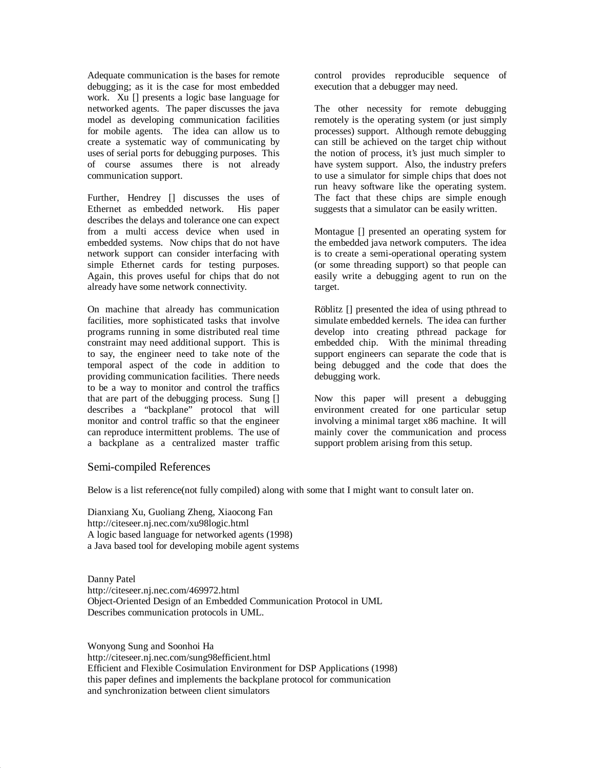Adequate communication is the bases for remote debugging; as it is the case for most embedded work. Xu [] presents a logic base language for networked agents. The paper discusses the java model as developing communication facilities for mobile agents. The idea can allow us to create a systematic way of communicating by uses of serial ports for debugging purposes. This of course assumes there is not already communication support.

Further, Hendrey [] discusses the uses of Ethernet as embedded network. His paper describes the delays and tolerance one can expect from a multi access device when used in embedded systems. Now chips that do not have network support can consider interfacing with simple Ethernet cards for testing purposes. Again, this proves useful for chips that do not already have some network connectivity.

On machine that already has communication facilities, more sophisticated tasks that involve programs running in some distributed real time constraint may need additional support. This is to say, the engineer need to take note of the temporal aspect of the code in addition to providing communication facilities. There needs to be a way to monitor and control the traffics that are part of the debugging process. Sung [] describes a "backplane" protocol that will monitor and control traffic so that the engineer can reproduce intermittent problems. The use of a backplane as a centralized master traffic

control provides reproducible sequence of execution that a debugger may need.

The other necessity for remote debugging remotely is the operating system (or just simply processes) support. Although remote debugging can still be achieved on the target chip without the notion of process, it's just much simpler to have system support. Also, the industry prefers to use a simulator for simple chips that does not run heavy software like the operating system. The fact that these chips are simple enough suggests that a simulator can be easily written.

Montague [] presented an operating system for the embedded java network computers. The idea is to create a semi-operational operating system (or some threading support) so that people can easily write a debugging agent to run on the target.

Röblitz [] presented the idea of using pthread to simulate embedded kernels. The idea can further develop into creating pthread package for embedded chip. With the minimal threading support engineers can separate the code that is being debugged and the code that does the debugging work.

Now this paper will present a debugging environment created for one particular setup involving a minimal target x86 machine. It will mainly cover the communication and process support problem arising from this setup.

# Semi-compiled References

Below is a list reference(not fully compiled) along with some that I might want to consult later on.

Dianxiang Xu, Guoliang Zheng, Xiaocong Fan http://citeseer.nj.nec.com/xu98logic.html A logic based language for networked agents (1998) a Java based tool for developing mobile agent systems

Danny Patel http://citeseer.nj.nec.com/469972.html Object-Oriented Design of an Embedded Communication Protocol in UML Describes communication protocols in UML.

Wonyong Sung and Soonhoi Ha http://citeseer.nj.nec.com/sung98efficient.html Efficient and Flexible Cosimulation Environment for DSP Applications (1998) this paper defines and implements the backplane protocol for communication and synchronization between client simulators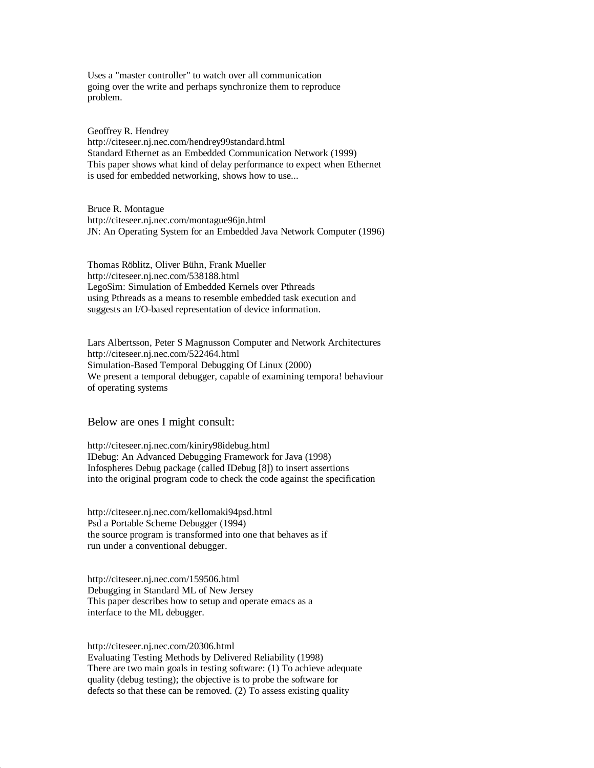Uses a "master controller" to watch over all communication going over the write and perhaps synchronize them to reproduce problem.

Geoffrey R. Hendrey http://citeseer.nj.nec.com/hendrey99standard.html Standard Ethernet as an Embedded Communication Network (1999) This paper shows what kind of delay performance to expect when Ethernet is used for embedded networking, shows how to use...

Bruce R. Montague http://citeseer.nj.nec.com/montague96jn.html JN: An Operating System for an Embedded Java Network Computer (1996)

Thomas Röblitz, Oliver Bühn, Frank Mueller http://citeseer.nj.nec.com/538188.html LegoSim: Simulation of Embedded Kernels over Pthreads using Pthreads as a means to resemble embedded task execution and suggests an I/O-based representation of device information.

Lars Albertsson, Peter S Magnusson Computer and Network Architectures http://citeseer.nj.nec.com/522464.html Simulation-Based Temporal Debugging Of Linux (2000) We present a temporal debugger, capable of examining tempora! behaviour of operating systems

### Below are ones I might consult:

http://citeseer.nj.nec.com/kiniry98idebug.html IDebug: An Advanced Debugging Framework for Java (1998) Infospheres Debug package (called IDebug [8]) to insert assertions into the original program code to check the code against the specification

http://citeseer.nj.nec.com/kellomaki94psd.html Psd a Portable Scheme Debugger (1994) the source program is transformed into one that behaves as if run under a conventional debugger.

http://citeseer.nj.nec.com/159506.html Debugging in Standard ML of New Jersey This paper describes how to setup and operate emacs as a interface to the ML debugger.

http://citeseer.nj.nec.com/20306.html

Evaluating Testing Methods by Delivered Reliability (1998) There are two main goals in testing software: (1) To achieve adequate quality (debug testing); the objective is to probe the software for defects so that these can be removed. (2) To assess existing quality